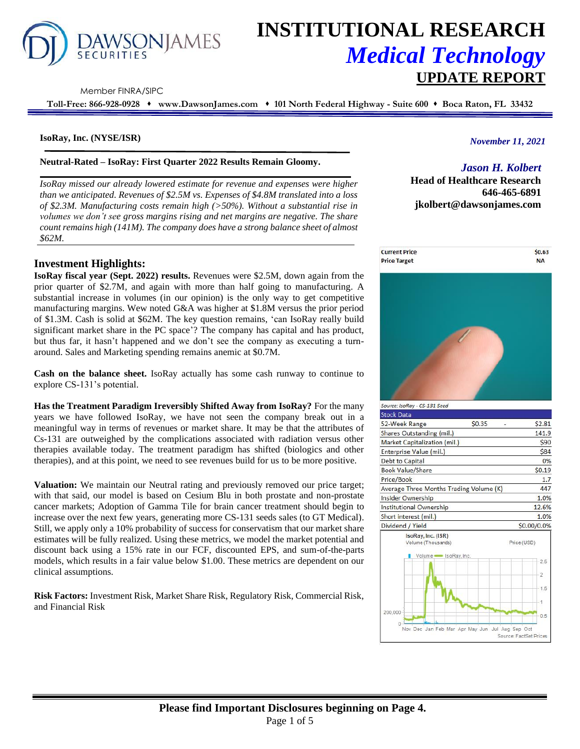

# **INSTITUTIONAL RESEARCH** *Medical Technology* **UPDATE REPORT**

Member FINRA/SIPC

**Toll-Free: 866-928-0928** ⬧ **www.DawsonJames.com** ⬧ **101 North Federal Highway - Suite 600** ⬧ **Boca Raton, FL 33432**

#### **IsoRay, Inc. (NYSE/ISR)**

**Neutral-Rated – IsoRay: First Quarter 2022 Results Remain Gloomy.**

*IsoRay missed our already lowered estimate for revenue and expenses were higher than we anticipated. Revenues of \$2.5M vs. Expenses of \$4.8M translated into a loss of \$2.3M. Manufacturing costs remain high (>50%). Without a substantial rise in volumes we don't see gross margins rising and net margins are negative. The share count remains high (141M). The company does have a strong balance sheet of almost \$62M.* 

## *November 11, 2021*

## *Jason H. Kolbert*

**Head of Healthcare Research 646-465-6891 jkolbert@dawsonjames.com**



## **Investment Highlights:**

**IsoRay fiscal year (Sept. 2022) results.** Revenues were \$2.5M, down again from the prior quarter of \$2.7M, and again with more than half going to manufacturing. A substantial increase in volumes (in our opinion) is the only way to get competitive manufacturing margins. Wew noted G&A was higher at \$1.8M versus the prior period of \$1.3M. Cash is solid at \$62M. The key question remains, 'can IsoRay really build significant market share in the PC space'? The company has capital and has product, but thus far, it hasn't happened and we don't see the company as executing a turnaround. Sales and Marketing spending remains anemic at \$0.7M.

**Cash on the balance sheet.** IsoRay actually has some cash runway to continue to explore CS-131's potential.

**Has the Treatment Paradigm Ireversibly Shifted Away from IsoRay?** For the many years we have followed IsoRay, we have not seen the company break out in a meaningful way in terms of revenues or market share. It may be that the attributes of Cs-131 are outweighed by the complications associated with radiation versus other therapies available today. The treatment paradigm has shifted (biologics and other therapies), and at this point, we need to see revenues build for us to be more positive.

**Valuation:** We maintain our Neutral rating and previously removed our price target; with that said, our model is based on Cesium Blu in both prostate and non-prostate cancer markets; Adoption of Gamma Tile for brain cancer treatment should begin to increase over the next few years, generating more CS-131 seeds sales (to GT Medical). Still, we apply only a 10% probability of success for conservatism that our market share estimates will be fully realized. Using these metrics, we model the market potential and discount back using a 15% rate in our FCF, discounted EPS, and sum-of-the-parts models, which results in a fair value below \$1.00. These metrics are dependent on our clinical assumptions.

**Risk Factors:** Investment Risk, Market Share Risk, Regulatory Risk, Commercial Risk, and Financial Risk



| \$2.81                                                                                                                               |
|--------------------------------------------------------------------------------------------------------------------------------------|
| 141.9                                                                                                                                |
| \$90                                                                                                                                 |
| \$84                                                                                                                                 |
| 0%                                                                                                                                   |
| \$0.19                                                                                                                               |
| 1.7                                                                                                                                  |
| 447                                                                                                                                  |
| 1.0%                                                                                                                                 |
| 12.6%                                                                                                                                |
| 1.0%                                                                                                                                 |
| \$0.00/0.0%                                                                                                                          |
| Price (USD)                                                                                                                          |
| 2.5                                                                                                                                  |
| 2                                                                                                                                    |
| 1.5                                                                                                                                  |
|                                                                                                                                      |
| 0.5                                                                                                                                  |
| \$0.35<br>Shares Outstanding (mil.)<br>Market Capitalization (mil.)<br>Average Three Months Trading Volume (K)<br>Volume SoRay, Inc. |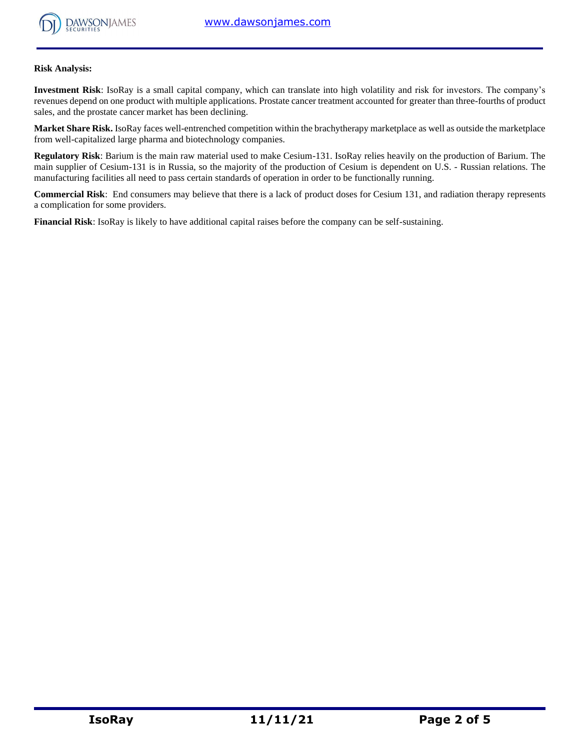

#### **Risk Analysis:**

**Investment Risk**: IsoRay is a small capital company, which can translate into high volatility and risk for investors. The company's revenues depend on one product with multiple applications. Prostate cancer treatment accounted for greater than three-fourths of product sales, and the prostate cancer market has been declining.

**Market Share Risk.** IsoRay faces well-entrenched competition within the brachytherapy marketplace as well as outside the marketplace from well-capitalized large pharma and biotechnology companies.

**Regulatory Risk**: Barium is the main raw material used to make Cesium-131. IsoRay relies heavily on the production of Barium. The main supplier of Cesium-131 is in Russia, so the majority of the production of Cesium is dependent on U.S. - Russian relations. The manufacturing facilities all need to pass certain standards of operation in order to be functionally running.

**Commercial Risk**: End consumers may believe that there is a lack of product doses for Cesium 131, and radiation therapy represents a complication for some providers.

**Financial Risk**: IsoRay is likely to have additional capital raises before the company can be self-sustaining.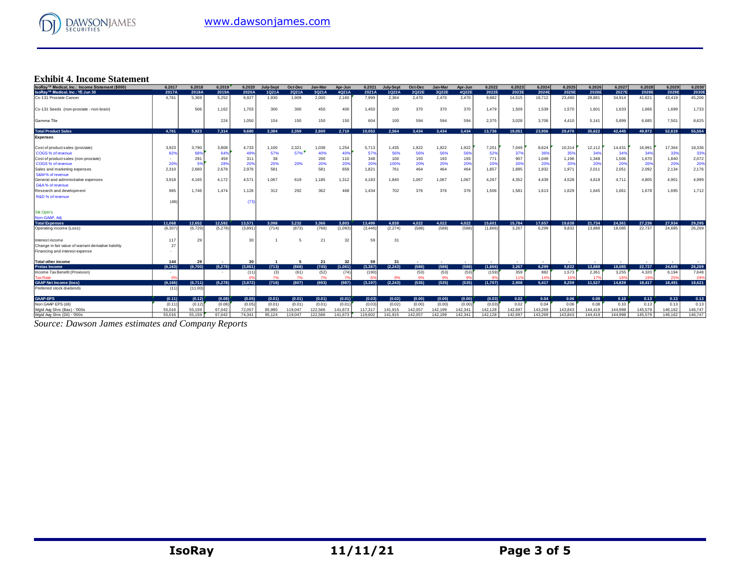

## **Exhibit 4. Income Statement**

| IsoRav™ Medical, Inc.: Income Statement (\$000)      | 6.2017   | 6.2018  | 6.2019  | 6.2020  | <b>July-Sept</b> | Oct-Dec | Jan-Mar | Apr-Jun | 6.2021   | July-Sept      | Oct-Dec | Jan-Mar | Apr-Jun | 6.2022  | 6.2023  | 6.2024          | 6.2025  | 6.2026  | 6.2027  | 6.2028           | 6.2029  | 6.2030  |
|------------------------------------------------------|----------|---------|---------|---------|------------------|---------|---------|---------|----------|----------------|---------|---------|---------|---------|---------|-----------------|---------|---------|---------|------------------|---------|---------|
| IsoRay™ Medical, Inc.: YE Jun 30                     | 2017A    | 2018A   | 2019A   | 2020A   | 1Q21A            | 2Q21A   | 3Q21A   | 4Q21A   | 2021A    | 1Q22A          | 2Q22E   | 3Q22E   | 4Q22E   | 2022E   | 2023E   | 2024E           | 2025E   | 2026E   | 2027E   | 2028E            | 2029E   | 2030E   |
| Cs-131 Prostate Cancer                               | 4.761    | 5.369   | 5.252   | 6.927   | 1.930            | 1.909   | 2.000   | 2,160   | 7.999    | 2,364          | 2.470   | 2.470   | 2.470   | 9,882   | 14.515  | 18,712          | 23,490  | 28,881  | 34.914  | 41,621           | 43.419  | 45,206  |
| Cs-131 Seeds (non-prostate - non-brain)              |          | 506     | 1,162   | 1,703   | 300              | 300     | 450     | 400     | 1,450    | 100            | 370     | 370     | 370     | 1,479   | 1,509   | 1,539           | 1,570   | 1,601   | 1.633   | 1,666            | 1,699   | 1,733   |
| Gamma Tile                                           |          |         | 224     | 1,050   | 154              | 150     | 150     | 150     | 604      | 100            | 594     | 594     | 594     | 2,375   | 3,028   | 3,706           | 4.410   | 5.141   | 5,899   | 6,685            | 7,501   | 8,625   |
| <b>Total Product Sales</b>                           | 4.761    | 5.923   | 7.314   | 9.680   | 2.384            | 2.359   | 2.600   | 2.710   | 10.053   | 2.564          | 3.434   | 3.434   | 3.434   | 13.736  | 19,051  | 23.956          | 29,470  | 35.622  | 42.445  | 49.972           | 52.619  | 55.564  |
| <b>Expenses</b>                                      |          |         |         |         |                  |         |         |         |          |                |         |         |         |         |         |                 |         |         |         |                  |         |         |
| Cost of product sales (prostate)                     | 3.923    | 3.790   | 3,808   | 4,733   | 1,100            | 2,321   | 1,038   | 1,254   | 5.713    | 1,435          | 1,922   | 1,922   | 1,922   | 7,201   | 7,049   | 8,624           | 10,314  | 12.112  | 14.431  | 16,991           | 17,364  | 18,336  |
| COGS % of revenue                                    | 82%      | 68%     | 64%     | 49%     | 57%              | 57%     | 40%     | 40%     | 57%      | 56%            | 56%     | 56%     | 56%     | 52%     | 379     | 36%             | 35%     | 34%     | 34%     | 34%              | 33%     | 33%     |
| Cost of product sales (non-prostate)                 |          | 291     | 459     | 311     | 38               |         | 200     | 110     | 348      | 100            | 193     | 193     | 193     | 771     | 907     | 1,049           | 1,196   | 1,348   | 1,506   | 1,670            | 1,840   | 2,072   |
| COGS % of revenue                                    | 209      | 5%      | 28%     | 20%     | 25%              | 20%     | 20%     | 20%     | 20%      | 100%           | 20%     | 20%     | 20%     | 20%     | 20%     | 20%             | 20%     | 20%     | 20%     | 20%              | 20%     | 20%     |
| Sales and marketing expenses                         | 2,310    | 2,660   | 2,679   | 2,976   | 581              |         | 581     | 659     | 1,821    | 761            | 464     | 464     | 464     | 1,857   | 1,895   | 1,932           | 1,971   | 2,011   | 2,051   | 2,092            | 2,134   | 2,176   |
| S&M% of revenue                                      |          |         |         |         |                  |         |         |         |          |                |         |         |         |         |         |                 |         |         |         |                  |         |         |
| General and administrative expenses                  | 3.918    | 4.165   | 4.172   | 4,571   | 1,067            | 619     | 1,185   | 1,312   | 4,183    | 1,840          | 1,067   | 1,067   | 1,067   | 4,267   | 4,352   | 4,439           | 4,528   | 4.618   | 4.711   | 4,805            | 4,901   | 4,999   |
| G&A% of revenue                                      |          |         |         |         |                  |         |         |         |          |                |         |         |         |         |         |                 |         |         |         |                  |         |         |
| Research and development                             | 965      | 1.746   | 1,474   | 1,126   | 312              | 292     | 362     | 468     | 1.434    | 702            | 376     | 376     | 376     | 1,506   | 1,581   | 1,613           | 1,629   | 1.645   | 1.661   | 1.678            | 1,695   | 1,712   |
| R&D % of revenue                                     |          |         |         |         |                  |         |         |         |          |                |         |         |         |         |         |                 |         |         |         |                  |         |         |
|                                                      | (48)     |         |         | (73)    |                  |         |         |         |          |                |         |         |         |         |         |                 |         |         |         |                  |         |         |
| <b>Stk Optn's</b><br>Non-GAAP, Adi                   |          |         |         |         |                  |         |         |         |          |                |         |         |         |         |         |                 |         |         |         |                  |         |         |
| <b>Total Expenses</b>                                |          | 12.652  |         |         |                  | 3.232   |         | 3.803   |          | 4.838          | 4.022   |         |         | 15,601  |         | 17.657          |         |         |         |                  | 27,934  | 29.295  |
|                                                      | 11.068   |         | 12.592  | 13,571  | 3.098            |         | 3.366   |         | 13,499   |                |         | 4.022   | 4.022   |         | 15.784  |                 | 19.638  | 21.734  | 24.361  | 27.236<br>22.737 | 24.685  | 26,269  |
| Operating income (Loss)                              | (6, 307) | (6.729) | (5,278) | (3,891) | (714)            | (873)   | (766)   | (1,093) | (3.446)  | (2, 274)       | (588)   | (588)   | (588)   | (1.866) | 3.267   | 6.299           | 9.832   | 13.888  | 18.085  |                  |         |         |
| Interest income                                      | 117      | 29      |         | 30      |                  | 5       | 21      | 32      | 59       | 3 <sup>1</sup> |         |         |         |         |         |                 |         |         |         |                  |         |         |
| Change in fair value of warrant derivative liability | 27       |         |         |         |                  |         |         |         |          |                |         |         |         |         |         |                 |         |         |         |                  |         |         |
| Financing and interest expense                       |          |         |         |         |                  |         |         |         |          |                |         |         |         |         |         |                 |         |         |         |                  |         |         |
| <b>Total other income</b>                            | 144      | 29      |         | 30      |                  | -5      | 21      | 32      | 59       | 31             |         |         |         |         |         |                 |         |         |         |                  |         |         |
| <b>Pretax Income</b>                                 | (6.163)  | (6.700) | (5.278) | (3.861) | (713)            | (868)   | (745)   | (1,061) | (3.387)  | (2.243)        | (588)   | (588)   | (588)   | (1.866) | 3.267   | 6.299           | 9.832   | 13.888  | 18.085  | 22.737           | 24,685  | 26.269  |
| Income Tax Benefit (Provision)                       |          |         |         | (11)    | (3)              | (61)    | (52)    | (74)    | (190)    |                | (53)    | (53)    | (53)    | (159)   | 359     | 882             | 1.573   | 2.361   | 3,255   | 4,320            | 6,194   | 7,648   |
| <b>Tax Rate</b>                                      |          |         |         |         | 7%               | 7%      | 7%      |         | -G)      |                | 9%      | 9%      |         |         |         | 14 <sup>°</sup> | 169     | 179     |         |                  | 25%     | 29%     |
| <b>GAAP Net Income (loss)</b>                        | (6.166)  | (6,711) | (5,278) | (3,872) | (716)            | (807)   | (693)   | (987)   | (3, 197) | (2, 243)       | (535)   | (535)   | (535)   | (1,707) | 2.908   | 5.417           | 8.259   | 11.527  | 14.829  | 18,417           | 18,491  | 18.621  |
| Preferred stock dividends                            | (11)     | (11.00) |         |         |                  |         |         |         |          |                |         |         |         |         |         |                 |         |         |         |                  |         |         |
| <b>GAAP-EPS</b>                                      | (0.11)   | (0.12)  | (0.08)  | (0.05)  | (0.01)           | (0.01)  | (0.01)  | (0.01)  | (0.03)   | (0.02)         | (0.00)  | (0.00)  | (0.00)  | (0.03)  | 0.02    | 0.04            | 0.06    | 0.08    | 0.10    | 0.13             | 0.13    | 0.13    |
| Non GAAP EPS (dil)                                   | (0.11)   | (0.12)  | (0.08)  | (0.05)  | (0.01)           | (0.01)  | (0.01)  | (0.01)  | (0.03)   | (0.02)         | (0.00)  | (0.00)  | (0.00)  | (0.03)  | 0.02    | 0.04            | 0.06    | 0.08    | 0.10    | 0.13             | 0.13    | 0.13    |
| Wotd Ava Shrs (Bas) - '000s                          | 55,016   | 55.159  | 67.042  | 72.057  | 85.980           | 119.047 | 122.566 | 141.673 | 117,317  | 141.915        | 142.057 | 142.199 | 142.341 | 142,128 | 142.697 | 143.269         | 143.843 | 144,419 | 144.998 | 145.579          | 146.162 | 146.747 |
| Wgtd Avg Shrs (Dil) - '000s                          | 55.016   | 55.159  | 67.042  | 74.341  | 95.124           | 119.047 | 122.566 | 141.673 | 119,602  | 141.915        | 142.057 | 142.199 | 142.341 | 142.128 | 142.697 | 143.269         | 143.843 | 144,419 | 144.998 | 145.579          | 146.162 | 146,747 |

*Source: Dawson James estimates and Company Reports*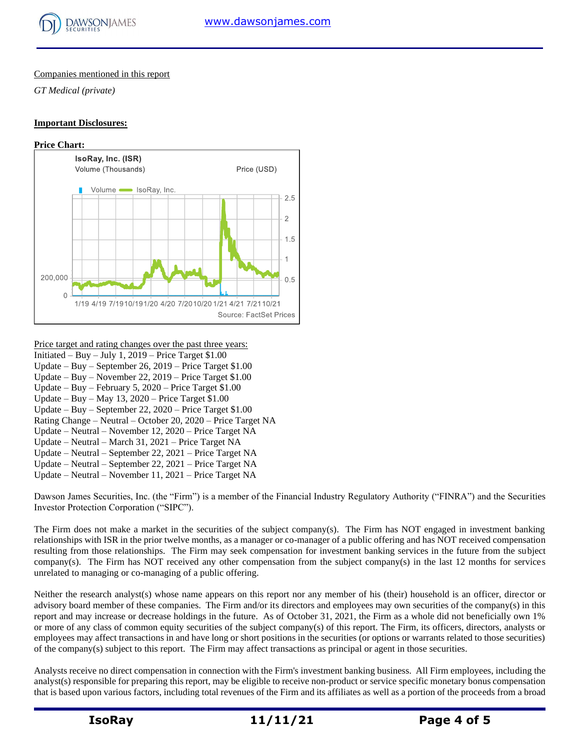

#### Companies mentioned in this report

*GT Medical (private)*

#### **Important Disclosures:**



#### Price target and rating changes over the past three years:

- Initiated Buy July 1,  $2019$  Price Target \$1.00
- Update Buy September 26, 2019 Price Target \$1.00
- Update Buy November 22, 2019 Price Target \$1.00
- Update Buy February 5, 2020 Price Target \$1.00
- Update Buy May 13, 2020 Price Target \$1.00
- Update Buy September 22, 2020 Price Target \$1.00
- Rating Change Neutral October 20, 2020 Price Target NA
- Update Neutral November 12, 2020 Price Target NA
- Update Neutral March 31, 2021 Price Target NA Update – Neutral – September 22, 2021 – Price Target NA
- Update Neutral September 22, 2021 Price Target NA
- Update Neutral November 11, 2021 Price Target NA

Dawson James Securities, Inc. (the "Firm") is a member of the Financial Industry Regulatory Authority ("FINRA") and the Securities Investor Protection Corporation ("SIPC").

The Firm does not make a market in the securities of the subject company(s). The Firm has NOT engaged in investment banking relationships with ISR in the prior twelve months, as a manager or co-manager of a public offering and has NOT received compensation resulting from those relationships. The Firm may seek compensation for investment banking services in the future from the subject company(s). The Firm has NOT received any other compensation from the subject company(s) in the last 12 months for services unrelated to managing or co-managing of a public offering.

Neither the research analyst(s) whose name appears on this report nor any member of his (their) household is an officer, director or advisory board member of these companies. The Firm and/or its directors and employees may own securities of the company(s) in this report and may increase or decrease holdings in the future. As of October 31, 2021, the Firm as a whole did not beneficially own 1% or more of any class of common equity securities of the subject company(s) of this report. The Firm, its officers, directors, analysts or employees may affect transactions in and have long or short positions in the securities (or options or warrants related to those securities) of the company(s) subject to this report. The Firm may affect transactions as principal or agent in those securities.

Analysts receive no direct compensation in connection with the Firm's investment banking business. All Firm employees, including the analyst(s) responsible for preparing this report, may be eligible to receive non-product or service specific monetary bonus compensation that is based upon various factors, including total revenues of the Firm and its affiliates as well as a portion of the proceeds from a broad